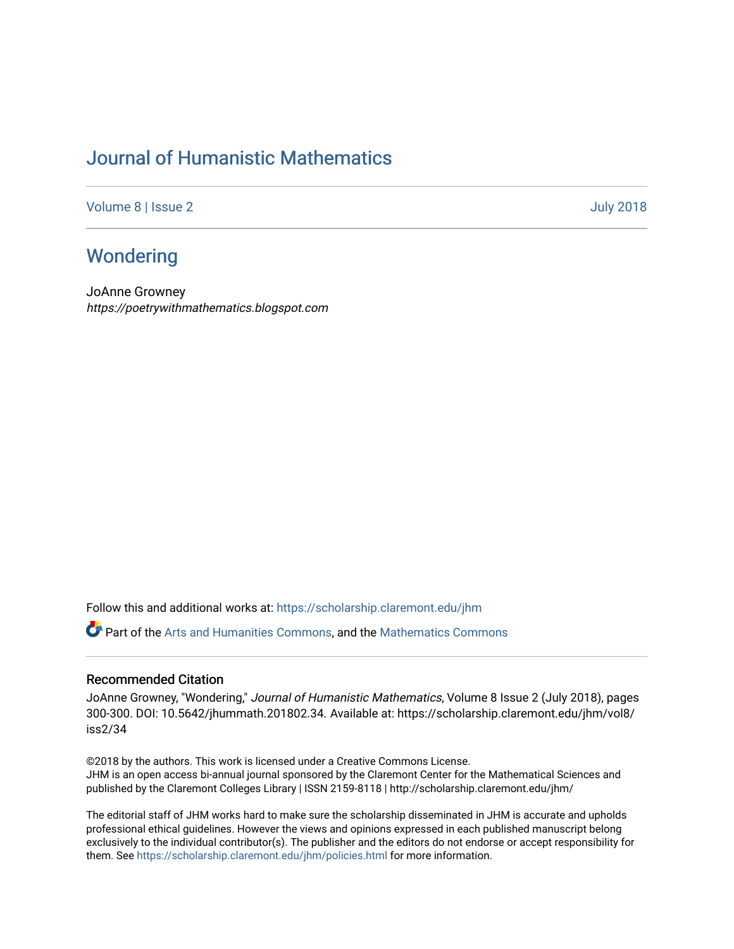## [Journal of Humanistic Mathematics](https://scholarship.claremont.edu/jhm)

[Volume 8](https://scholarship.claremont.edu/jhm/vol8) | [Issue 2](https://scholarship.claremont.edu/jhm/vol8/iss2) [July 2018](https://scholarship.claremont.edu/jhm/vol8/iss2) 

## **Wondering**

JoAnne Growney https://poetrywithmathematics.blogspot.com

Follow this and additional works at: [https://scholarship.claremont.edu/jhm](https://scholarship.claremont.edu/jhm?utm_source=scholarship.claremont.edu%2Fjhm%2Fvol8%2Fiss2%2F34&utm_medium=PDF&utm_campaign=PDFCoverPages)

Part of the [Arts and Humanities Commons,](http://network.bepress.com/hgg/discipline/438?utm_source=scholarship.claremont.edu%2Fjhm%2Fvol8%2Fiss2%2F34&utm_medium=PDF&utm_campaign=PDFCoverPages) and the [Mathematics Commons](http://network.bepress.com/hgg/discipline/174?utm_source=scholarship.claremont.edu%2Fjhm%2Fvol8%2Fiss2%2F34&utm_medium=PDF&utm_campaign=PDFCoverPages) 

## Recommended Citation

JoAnne Growney, "Wondering," Journal of Humanistic Mathematics, Volume 8 Issue 2 (July 2018), pages 300-300. DOI: 10.5642/jhummath.201802.34. Available at: https://scholarship.claremont.edu/jhm/vol8/ iss2/34

©2018 by the authors. This work is licensed under a Creative Commons License. JHM is an open access bi-annual journal sponsored by the Claremont Center for the Mathematical Sciences and published by the Claremont Colleges Library | ISSN 2159-8118 | http://scholarship.claremont.edu/jhm/

The editorial staff of JHM works hard to make sure the scholarship disseminated in JHM is accurate and upholds professional ethical guidelines. However the views and opinions expressed in each published manuscript belong exclusively to the individual contributor(s). The publisher and the editors do not endorse or accept responsibility for them. See<https://scholarship.claremont.edu/jhm/policies.html> for more information.